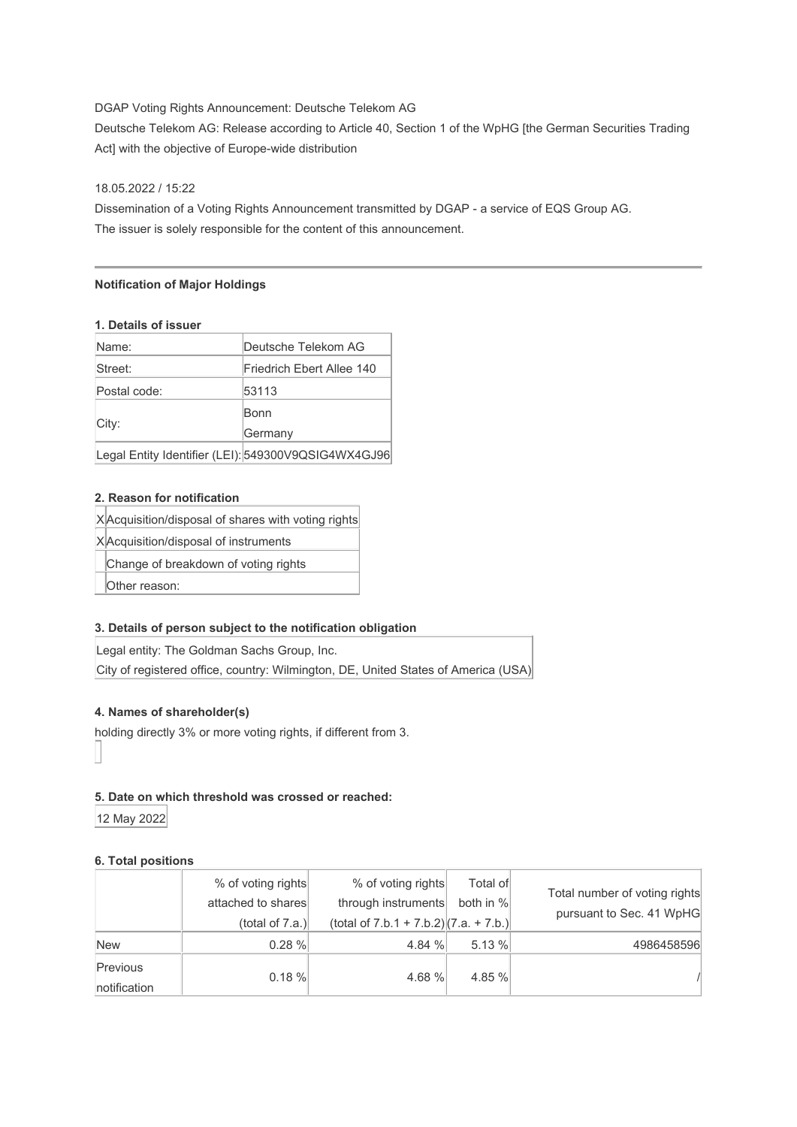# DGAP Voting Rights Announcement: Deutsche Telekom AG

Deutsche Telekom AG: Release according to Article 40, Section 1 of the WpHG [the German Securities Trading Act] with the objective of Europe-wide distribution

#### 18.05.2022 / 15:22

Dissemination of a Voting Rights Announcement transmitted by DGAP - a service of EQS Group AG. The issuer is solely responsible for the content of this announcement.

#### **Notification of Major Holdings**

#### **1. Details of issuer**

| Name:        | Deutsche Telekom AG                                 |
|--------------|-----------------------------------------------------|
| Street:      | Friedrich Ebert Allee 140                           |
| Postal code: | 53113                                               |
| City:        | Bonn                                                |
|              | Germany                                             |
|              | Legal Entity Identifier (LEI): 549300V9QSIG4WX4GJ96 |

## **2. Reason for notification**

X Acquisition/disposal of shares with voting rights

X Acquisition/disposal of instruments

Change of breakdown of voting rights

Other reason:

## **3. Details of person subject to the notification obligation**

Legal entity: The Goldman Sachs Group, Inc. City of registered office, country: Wilmington, DE, United States of America (USA)

#### **4. Names of shareholder(s)**

holding directly 3% or more voting rights, if different from 3.

### **5. Date on which threshold was crossed or reached:**

12 May 2022

### **6. Total positions**

|                          | % of voting rights<br>attached to shares<br>(total of $7.a.$ ) | % of voting rights<br>through instruments<br>(total of $7.b.1 + 7.b.2$ ) $(7.a. + 7.b.)$ | Total of<br>both in % | Total number of voting rights<br>pursuant to Sec. 41 WpHG |
|--------------------------|----------------------------------------------------------------|------------------------------------------------------------------------------------------|-----------------------|-----------------------------------------------------------|
| <b>New</b>               | 0.28%                                                          | 4.84 %                                                                                   | 5.13 %                | 4986458596                                                |
| Previous<br>notification | $0.18 \%$                                                      | 4.68 %                                                                                   | 4.85 %                |                                                           |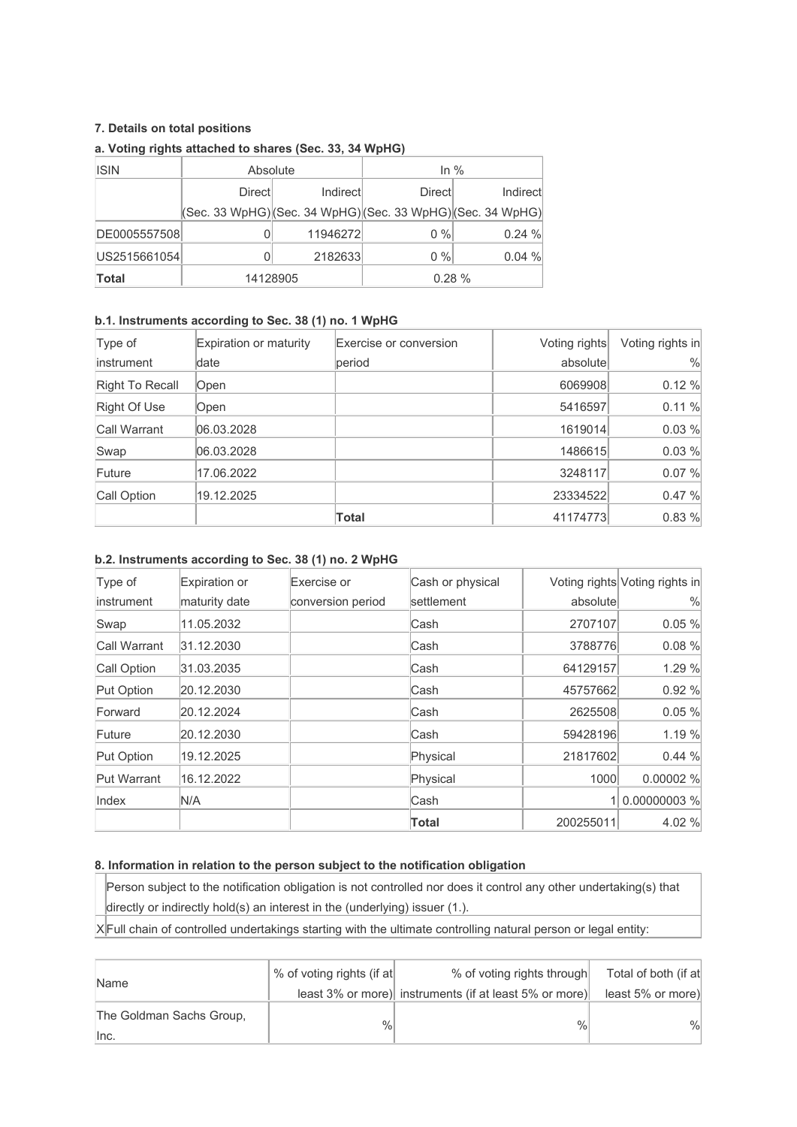# **7. Details on total positions**

| <b>ISIN</b>  | Absolute |          | In $%$                                                                                  |          |
|--------------|----------|----------|-----------------------------------------------------------------------------------------|----------|
|              | Directl  | Indirect | <b>Directl</b>                                                                          | Indirect |
|              |          |          | $ ({\sf Sec. 33 WpHG}) ({\sf Sec. 34 WpHG}) ({\sf Sec. 33 WpHG}) ({\sf Sec. 34 WpHG}) $ |          |
| DE0005557508 |          | 11946272 | $0\%$                                                                                   | 0.24%    |
| US2515661054 |          | 2182633  | $0\%$                                                                                   | 0.04%    |
| <b>Total</b> |          | 14128905 | $0.28 \%$                                                                               |          |

# **a. Voting rights attached to shares (Sec. 33, 34 WpHG)**

# **b.1. Instruments according to Sec. 38 (1) no. 1 WpHG**

| Type of         | Expiration or maturity | Exercise or conversion | Voting rights | Voting rights in |
|-----------------|------------------------|------------------------|---------------|------------------|
| instrument      | date                   | period                 | absolute      | $\%$             |
| Right To Recall | Open                   |                        | 6069908       | 0.12 %           |
| Right Of Use    | Open                   |                        | 5416597       | 0.11 %           |
| Call Warrant    | 06.03.2028             |                        | 1619014       | 0.03 %           |
| Swap            | 06.03.2028             |                        | 1486615       | 0.03 %           |
| Future          | 17.06.2022             |                        | 3248117       | 0.07 %           |
| Call Option     | 19.12.2025             |                        | 23334522      | 0.47%            |
|                 |                        | Total                  | 41174773      | 0.83 %           |

### **b.2. Instruments according to Sec. 38 (1) no. 2 WpHG**

| Type of            | Expiration or | Exercise or       | Cash or physical |           | Voting rights Voting rights in |
|--------------------|---------------|-------------------|------------------|-----------|--------------------------------|
| instrument         | maturity date | conversion period | settlement       | absolute  | $\frac{0}{0}$                  |
| Swap               | 11.05.2032    |                   | lCash            | 2707107   | 0.05 %                         |
| Call Warrant       | 31.12.2030    |                   | lCash            | 3788776   | 0.08 %                         |
| Call Option        | 31.03.2035    |                   | Cash             | 64129157  | 1.29 %                         |
| Put Option         | 20.12.2030    |                   | Cash             | 45757662  | 0.92%                          |
| Forward            | 20.12.2024    |                   | Cash             | 2625508   | 0.05%                          |
| Future             | 20.12.2030    |                   | Cash             | 59428196  | 1.19 %                         |
| Put Option         | 19.12.2025    |                   | Physical         | 21817602  | 0.44%                          |
| <b>Put Warrant</b> | 16.12.2022    |                   | Physical         | 1000      | 0.00002%                       |
| Index              | N/A           |                   | lCash            |           | 1 0.00000003 %                 |
|                    |               |                   | Total            | 200255011 | 4.02 %                         |

## **8. Information in relation to the person subject to the notification obligation**

Person subject to the notification obligation is not controlled nor does it control any other undertaking(s) that directly or indirectly hold(s) an interest in the (underlying) issuer (1.).

 $X$  Full chain of controlled undertakings starting with the ultimate controlling natural person or legal entity:

| Name                             | % of voting rights (if at | % of voting rights through                             | Total of both (if at |
|----------------------------------|---------------------------|--------------------------------------------------------|----------------------|
|                                  |                           | least 3% or more) instruments (if at least 5% or more) | least 5% or more)    |
| The Goldman Sachs Group,<br>Inc. | $\%$                      | $\%$                                                   | $\%$                 |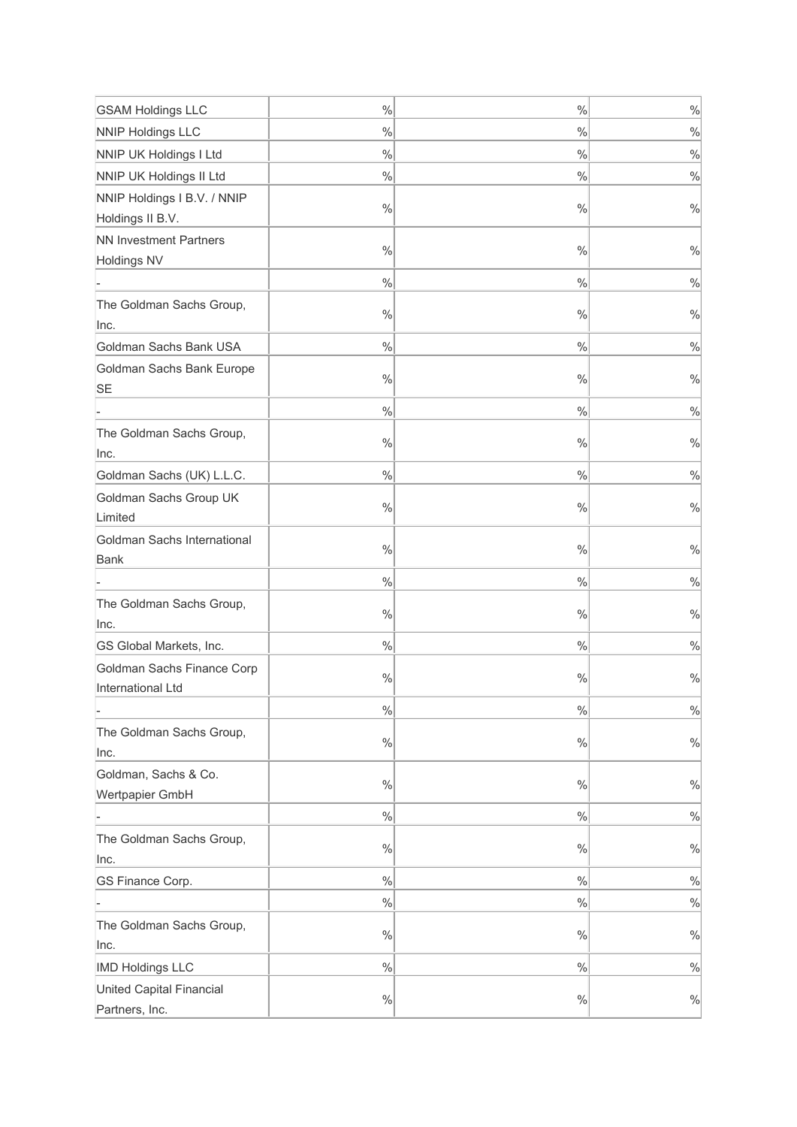| <b>GSAM Holdings LLC</b>                        | $\%$          | $\%$          | $\frac{0}{0}$ |
|-------------------------------------------------|---------------|---------------|---------------|
| <b>NNIP Holdings LLC</b>                        | $\frac{0}{0}$ | %             | $\frac{0}{0}$ |
| <b>NNIP UK Holdings I Ltd</b>                   | $\%$          | %             | $\frac{0}{0}$ |
| NNIP UK Holdings II Ltd                         | $\frac{0}{0}$ | %             | $\frac{0}{0}$ |
| NNIP Holdings I B.V. / NNIP                     |               |               |               |
| Holdings II B.V.                                | $\frac{0}{0}$ | $\%$          | $\%$          |
| <b>NN Investment Partners</b>                   | $\frac{0}{0}$ | $\%$          | $\frac{0}{0}$ |
| <b>Holdings NV</b>                              |               |               |               |
|                                                 | $\%$          | $\%$          | $\frac{0}{0}$ |
| The Goldman Sachs Group,<br>Inc.                | $\%$          | $\%$          | $\frac{0}{0}$ |
| Goldman Sachs Bank USA                          | $\%$          | $\%$          | $\frac{0}{0}$ |
| Goldman Sachs Bank Europe<br>SE                 | $\%$          | $\%$          | $\frac{0}{0}$ |
|                                                 | $\%$          | $\%$          | $\frac{0}{0}$ |
| The Goldman Sachs Group,<br>Inc.                | $\%$          | $\%$          | $\frac{0}{0}$ |
| Goldman Sachs (UK) L.L.C.                       | $\%$          | $\%$          | $\frac{0}{0}$ |
| Goldman Sachs Group UK                          |               |               |               |
| Limited                                         | $\%$          | $\%$          | $\frac{0}{0}$ |
| Goldman Sachs International<br>Bank             | $\%$          | $\%$          | $\%$          |
|                                                 | $\%$          | %             | $\%$          |
| The Goldman Sachs Group,<br>Inc.                | $\%$          | $\%$          | $\%$          |
| GS Global Markets, Inc.                         | $\frac{0}{0}$ | %             | $\frac{0}{0}$ |
| Goldman Sachs Finance Corp<br>International Ltd | $\%$          | $\%$          | $\%$          |
|                                                 | $\%$          | $\%$          | $\frac{0}{0}$ |
| The Goldman Sachs Group,<br>Inc.                | $\%$          | $\%$          | $\frac{0}{0}$ |
| Goldman, Sachs & Co.<br>Wertpapier GmbH         | $\frac{0}{0}$ | $\frac{0}{0}$ | $\%$          |
|                                                 | $\frac{0}{0}$ | %             | $\%$          |
| The Goldman Sachs Group,                        |               |               |               |
| Inc.                                            | $\frac{0}{0}$ | %             | $\frac{0}{0}$ |
| GS Finance Corp.                                | $\frac{0}{0}$ | $\frac{0}{0}$ | $\%$          |
|                                                 | $\frac{0}{0}$ | %             | $\frac{0}{0}$ |
| The Goldman Sachs Group,<br>Inc.                | $\%$          | $\%$          | $\%$          |
| <b>IMD Holdings LLC</b>                         | $\frac{0}{0}$ | %             | $\frac{0}{0}$ |
| United Capital Financial                        |               |               |               |
| Partners, Inc.                                  | $\frac{0}{0}$ | %             | $\%$          |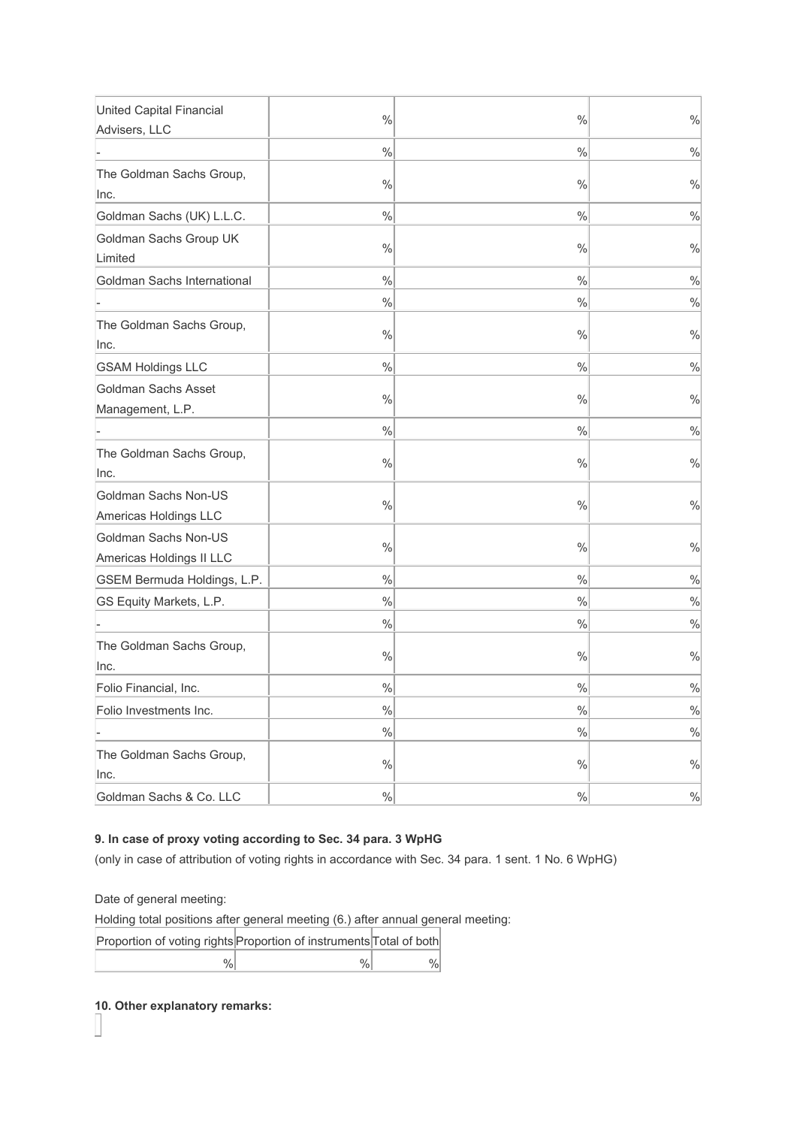| <b>United Capital Financial</b>                  | $\frac{0}{0}$ | $\frac{0}{0}$ | $\frac{0}{0}$ |
|--------------------------------------------------|---------------|---------------|---------------|
| Advisers, LLC                                    |               |               |               |
|                                                  | $\frac{0}{0}$ | $\frac{0}{0}$ | $\frac{0}{0}$ |
| The Goldman Sachs Group,                         |               |               |               |
| Inc.                                             | $\frac{0}{0}$ | $\frac{0}{0}$ | $\frac{0}{0}$ |
| Goldman Sachs (UK) L.L.C.                        | $\frac{0}{0}$ | $\frac{0}{0}$ | $\frac{0}{0}$ |
| Goldman Sachs Group UK<br>Limited                | $\%$          | $\frac{0}{0}$ | $\frac{0}{0}$ |
| Goldman Sachs International                      | $\%$          | $\frac{0}{0}$ | $\frac{0}{0}$ |
|                                                  | $\frac{0}{0}$ | %             | $\%$          |
| The Goldman Sachs Group,                         | $\%$          | $\frac{0}{0}$ | $\%$          |
| Inc.                                             |               |               |               |
| <b>GSAM Holdings LLC</b>                         | $\frac{0}{0}$ | $\frac{0}{0}$ | $\%$          |
| Goldman Sachs Asset                              | $\%$          | $\frac{0}{0}$ | $\%$          |
| Management, L.P.                                 |               |               |               |
|                                                  | $\frac{0}{0}$ | %             | $\%$          |
| The Goldman Sachs Group,<br>Inc.                 | $\%$          | %             | $\%$          |
| Goldman Sachs Non-US<br>Americas Holdings LLC    | $\%$          | %             | $\frac{0}{0}$ |
| Goldman Sachs Non-US<br>Americas Holdings II LLC | $\frac{0}{0}$ | $\frac{0}{0}$ | $\%$          |
| GSEM Bermuda Holdings, L.P.                      | $\frac{0}{0}$ | $\frac{0}{0}$ | $\%$          |
| GS Equity Markets, L.P.                          | $\%$          | $\frac{0}{0}$ | $\frac{0}{0}$ |
|                                                  | $\%$          | %             | $\%$          |
| The Goldman Sachs Group,<br>Inc.                 | $\%$          | %             | $\%$          |
| Folio Financial, Inc.                            | $\%$          | %             | $\%$          |
| Folio Investments Inc.                           | $\%$          | $\%$          | $\%$          |
|                                                  | $\%$          | %             | $\frac{0}{0}$ |
| The Goldman Sachs Group,<br>Inc.                 | $\%$          | $\frac{0}{0}$ | $\frac{0}{0}$ |
| Goldman Sachs & Co. LLC                          | $\%$          | %             | $\%$          |

# **9. In case of proxy voting according to Sec. 34 para. 3 WpHG**

(only in case of attribution of voting rights in accordance with Sec. 34 para. 1 sent. 1 No. 6 WpHG)

Date of general meeting:

Holding total positions after general meeting (6.) after annual general meeting:

| Proportion of voting rights Proportion of instruments Total of both |  |  |
|---------------------------------------------------------------------|--|--|
| %                                                                   |  |  |

**10. Other explanatory remarks:**